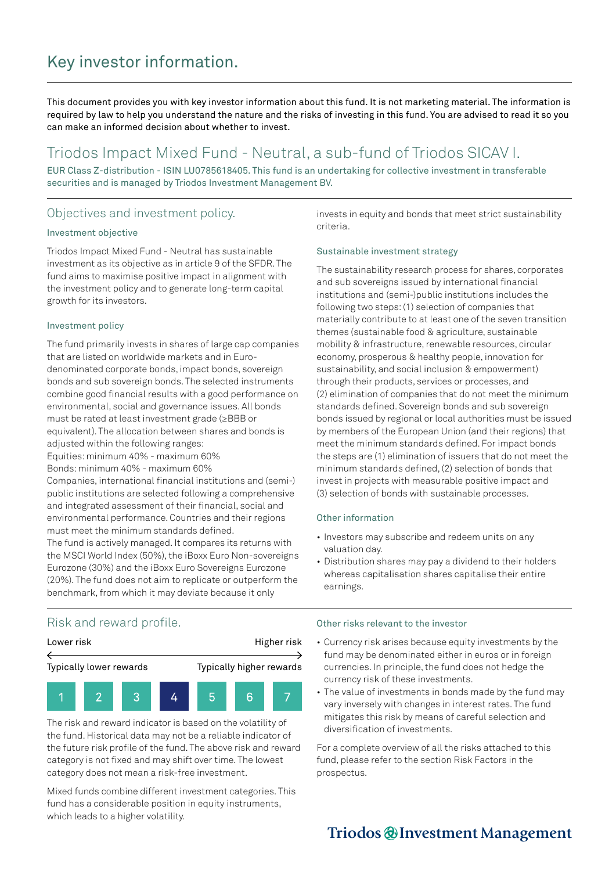# Key investor information.

This document provides you with key investor information about this fund. It is not marketing material. The information is required by law to help you understand the nature and the risks of investing in this fund. You are advised to read it so you can make an informed decision about whether to invest.

## Triodos Impact Mixed Fund - Neutral, a sub-fund of Triodos SICAV I.

EUR Class Z-distribution - ISIN LU0785618405. This fund is an undertaking for collective investment in transferable securities and is managed by Triodos Investment Management BV.

### Objectives and investment policy.

#### Investment objective

Triodos Impact Mixed Fund - Neutral has sustainable investment as its objective as in article 9 of the SFDR. The fund aims to maximise positive impact in alignment with the investment policy and to generate long-term capital growth for its investors.

#### Investment policy

The fund primarily invests in shares of large cap companies that are listed on worldwide markets and in Eurodenominated corporate bonds, impact bonds, sovereign bonds and sub sovereign bonds. The selected instruments combine good financial results with a good performance on environmental, social and governance issues. All bonds must be rated at least investment grade (≥BBB or equivalent). The allocation between shares and bonds is adjusted within the following ranges:

Equities: minimum 40% - maximum 60% Bonds: minimum 40% - maximum 60%

Companies, international financial institutions and (semi-) public institutions are selected following a comprehensive and integrated assessment of their financial, social and environmental performance. Countries and their regions must meet the minimum standards defined. The fund is actively managed. It compares its returns with the MSCI World Index (50%), the iBoxx Euro Non-sovereigns

Eurozone (30%) and the iBoxx Euro Sovereigns Eurozone (20%). The fund does not aim to replicate or outperform the benchmark, from which it may deviate because it only

invests in equity and bonds that meet strict sustainability criteria.

#### Sustainable investment strategy

The sustainability research process for shares, corporates and sub sovereigns issued by international financial institutions and (semi-)public institutions includes the following two steps: (1) selection of companies that materially contribute to at least one of the seven transition themes (sustainable food & agriculture, sustainable mobility & infrastructure, renewable resources, circular economy, prosperous & healthy people, innovation for sustainability, and social inclusion & empowerment) through their products, services or processes, and (2) elimination of companies that do not meet the minimum standards defined. Sovereign bonds and sub sovereign bonds issued by regional or local authorities must be issued by members of the European Union (and their regions) that meet the minimum standards defined. For impact bonds the steps are (1) elimination of issuers that do not meet the minimum standards defined, (2) selection of bonds that invest in projects with measurable positive impact and (3) selection of bonds with sustainable processes.

#### Other information

- Investors may subscribe and redeem units on any valuation day.
- Distribution shares may pay a dividend to their holders whereas capitalisation shares capitalise their entire earnings.

### Risk and reward profile.



The risk and reward indicator is based on the volatility of the fund. Historical data may not be a reliable indicator of the future risk profile of the fund. The above risk and reward category is not fixed and may shift over time. The lowest category does not mean a risk-free investment.

Mixed funds combine different investment categories. This fund has a considerable position in equity instruments, which leads to a higher volatility.

#### Other risks relevant to the investor

- Currency risk arises because equity investments by the fund may be denominated either in euros or in foreign currencies. In principle, the fund does not hedge the currency risk of these investments.
- The value of investments in bonds made by the fund may vary inversely with changes in interest rates. The fund mitigates this risk by means of careful selection and diversification of investments.

For a complete overview of all the risks attached to this fund, please refer to the section Risk Factors in the prospectus.

# Triodos @Investment Management